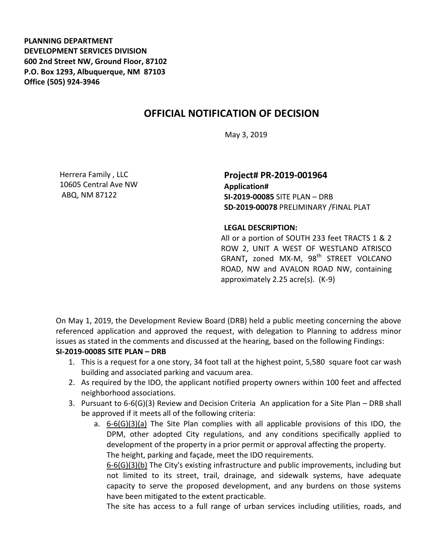**PLANNING DEPARTMENT DEVELOPMENT SERVICES DIVISION 600 2nd Street NW, Ground Floor, 87102 P.O. Box 1293, Albuquerque, NM 87103 Office (505) 924-3946** 

# **OFFICIAL NOTIFICATION OF DECISION**

May 3, 2019

Herrera Family , LLC 10605 Central Ave NW ABQ, NM 87122

**Project# PR-2019-001964 Application# SI-2019-00085** SITE PLAN – DRB **SD-2019-00078** PRELIMINARY /FINAL PLAT

#### **LEGAL DESCRIPTION:**

All or a portion of SOUTH 233 feet TRACTS 1 & 2 ROW 2, UNIT A WEST OF WESTLAND ATRISCO GRANT, zoned MX-M, 98<sup>th</sup> STREET VOLCANO ROAD, NW and AVALON ROAD NW, containing approximately 2.25 acre(s). (K-9)

On May 1, 2019, the Development Review Board (DRB) held a public meeting concerning the above referenced application and approved the request, with delegation to Planning to address minor issues as stated in the comments and discussed at the hearing, based on the following Findings:

### **SI-2019-00085 SITE PLAN – DRB**

- 1. This is a request for a one story, 34 foot tall at the highest point, 5,580 square foot car wash building and associated parking and vacuum area.
- 2. As required by the IDO, the applicant notified property owners within 100 feet and affected neighborhood associations.
- 3. Pursuant to 6-6(G)(3) Review and Decision Criteria An application for a Site Plan DRB shall be approved if it meets all of the following criteria:
	- a. 6-6(G)(3)(a) The Site Plan complies with all applicable provisions of this IDO, the DPM, other adopted City regulations, and any conditions specifically applied to development of the property in a prior permit or approval affecting the property. The height, parking and façade, meet the IDO requirements.

6-6(G)(3)(b) The City's existing infrastructure and public improvements, including but not limited to its street, trail, drainage, and sidewalk systems, have adequate capacity to serve the proposed development, and any burdens on those systems have been mitigated to the extent practicable.

The site has access to a full range of urban services including utilities, roads, and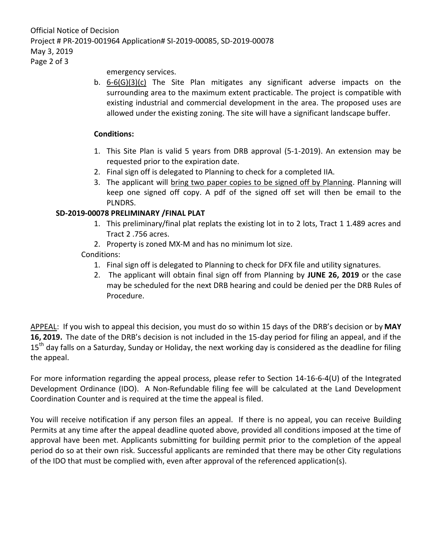Official Notice of Decision Project # PR-2019-001964 Application# SI-2019-00085, SD-2019-00078 May 3, 2019

Page 2 of 3

emergency services.

b. 6-6(G)(3)(c) The Site Plan mitigates any significant adverse impacts on the surrounding area to the maximum extent practicable. The project is compatible with existing industrial and commercial development in the area. The proposed uses are allowed under the existing zoning. The site will have a significant landscape buffer.

## **Conditions:**

- 1. This Site Plan is valid 5 years from DRB approval (5-1-2019). An extension may be requested prior to the expiration date.
- 2. Final sign off is delegated to Planning to check for a completed IIA.
- 3. The applicant will bring two paper copies to be signed off by Planning. Planning will keep one signed off copy. A pdf of the signed off set will then be email to the PLNDRS.

# **SD-2019-00078 PRELIMINARY /FINAL PLAT**

- 1. This preliminary/final plat replats the existing lot in to 2 lots, Tract 1 1.489 acres and Tract 2 .756 acres.
- 2. Property is zoned MX-M and has no minimum lot size.

# Conditions:

- 1. Final sign off is delegated to Planning to check for DFX file and utility signatures.
- 2. The applicant will obtain final sign off from Planning by **JUNE 26, 2019** or the case may be scheduled for the next DRB hearing and could be denied per the DRB Rules of Procedure.

APPEAL: If you wish to appeal this decision, you must do so within 15 days of the DRB's decision or by **MAY 16, 2019.** The date of the DRB's decision is not included in the 15-day period for filing an appeal, and if the 15<sup>th</sup> day falls on a Saturday, Sunday or Holiday, the next working day is considered as the deadline for filing the appeal.

For more information regarding the appeal process, please refer to Section 14-16-6-4(U) of the Integrated Development Ordinance (IDO). A Non-Refundable filing fee will be calculated at the Land Development Coordination Counter and is required at the time the appeal is filed.

You will receive notification if any person files an appeal. If there is no appeal, you can receive Building Permits at any time after the appeal deadline quoted above, provided all conditions imposed at the time of approval have been met. Applicants submitting for building permit prior to the completion of the appeal period do so at their own risk. Successful applicants are reminded that there may be other City regulations of the IDO that must be complied with, even after approval of the referenced application(s).